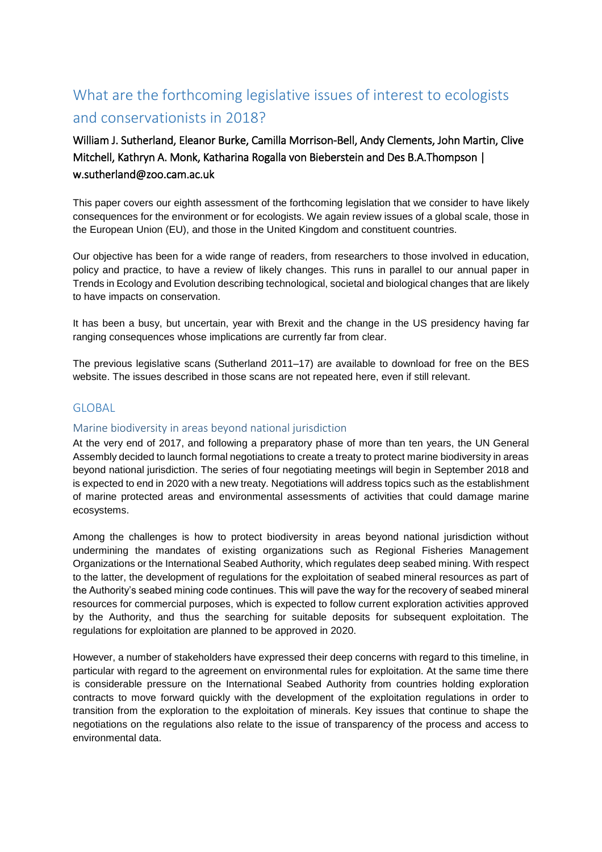# What are the forthcoming legislative issues of interest to ecologists and conservationists in 2018?

William J. Sutherland, Eleanor Burke, Camilla Morrison-Bell, Andy Clements, John Martin, Clive Mitchell, Kathryn A. Monk, Katharina Rogalla von Bieberstein and Des B.A.Thompson | w.sutherland@zoo.cam.ac.uk

This paper covers our eighth assessment of the forthcoming legislation that we consider to have likely consequences for the environment or for ecologists. We again review issues of a global scale, those in the European Union (EU), and those in the United Kingdom and constituent countries.

Our objective has been for a wide range of readers, from researchers to those involved in education, policy and practice, to have a review of likely changes. This runs in parallel to our annual paper in Trends in Ecology and Evolution describing technological, societal and biological changes that are likely to have impacts on conservation.

It has been a busy, but uncertain, year with Brexit and the change in the US presidency having far ranging consequences whose implications are currently far from clear.

The previous legislative scans (Sutherland 2011–17) are available to download for free on the BES website. The issues described in those scans are not repeated here, even if still relevant.

# GLOBAL

### Marine biodiversity in areas beyond national jurisdiction

At the very end of 2017, and following a preparatory phase of more than ten years, the UN General Assembly decided to launch formal negotiations to create a treaty to protect marine biodiversity in areas beyond national jurisdiction. The series of four negotiating meetings will begin in September 2018 and is expected to end in 2020 with a new treaty. Negotiations will address topics such as the establishment of marine protected areas and environmental assessments of activities that could damage marine ecosystems.

Among the challenges is how to protect biodiversity in areas beyond national jurisdiction without undermining the mandates of existing organizations such as Regional Fisheries Management Organizations or the International Seabed Authority, which regulates deep seabed mining. With respect to the latter, the development of regulations for the exploitation of seabed mineral resources as part of the Authority's seabed mining code continues. This will pave the way for the recovery of seabed mineral resources for commercial purposes, which is expected to follow current exploration activities approved by the Authority, and thus the searching for suitable deposits for subsequent exploitation. The regulations for exploitation are planned to be approved in 2020.

However, a number of stakeholders have expressed their deep concerns with regard to this timeline, in particular with regard to the agreement on environmental rules for exploitation. At the same time there is considerable pressure on the International Seabed Authority from countries holding exploration contracts to move forward quickly with the development of the exploitation regulations in order to transition from the exploration to the exploitation of minerals. Key issues that continue to shape the negotiations on the regulations also relate to the issue of transparency of the process and access to environmental data.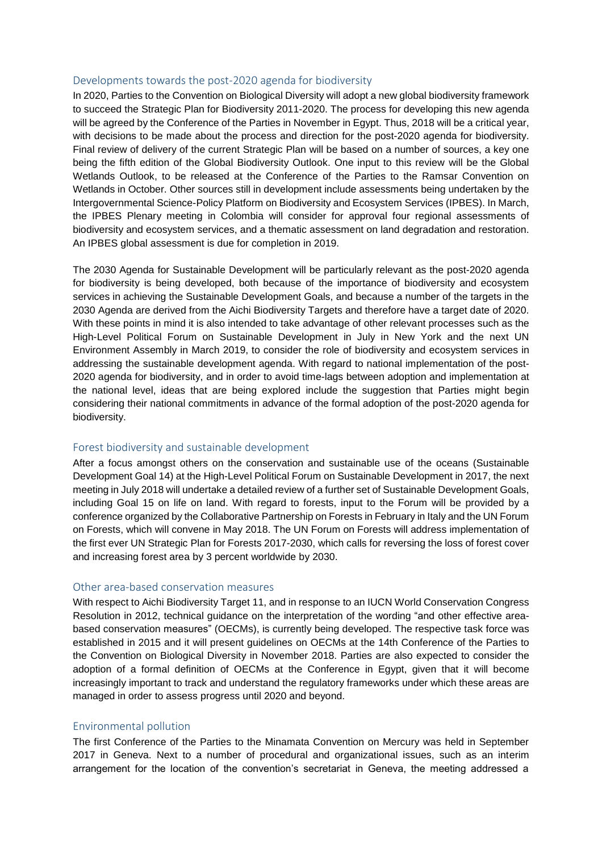### Developments towards the post-2020 agenda for biodiversity

In 2020, Parties to the Convention on Biological Diversity will adopt a new global biodiversity framework to succeed the Strategic Plan for Biodiversity 2011-2020. The process for developing this new agenda will be agreed by the Conference of the Parties in November in Egypt. Thus, 2018 will be a critical year, with decisions to be made about the process and direction for the post-2020 agenda for biodiversity. Final review of delivery of the current Strategic Plan will be based on a number of sources, a key one being the fifth edition of the Global Biodiversity Outlook. One input to this review will be the Global Wetlands Outlook, to be released at the Conference of the Parties to the Ramsar Convention on Wetlands in October. Other sources still in development include assessments being undertaken by the Intergovernmental Science-Policy Platform on Biodiversity and Ecosystem Services (IPBES). In March, the IPBES Plenary meeting in Colombia will consider for approval four regional assessments of biodiversity and ecosystem services, and a thematic assessment on land degradation and restoration. An IPBES global assessment is due for completion in 2019.

The 2030 Agenda for Sustainable Development will be particularly relevant as the post-2020 agenda for biodiversity is being developed, both because of the importance of biodiversity and ecosystem services in achieving the Sustainable Development Goals, and because a number of the targets in the 2030 Agenda are derived from the Aichi Biodiversity Targets and therefore have a target date of 2020. With these points in mind it is also intended to take advantage of other relevant processes such as the High-Level Political Forum on Sustainable Development in July in New York and the next UN Environment Assembly in March 2019, to consider the role of biodiversity and ecosystem services in addressing the sustainable development agenda. With regard to national implementation of the post-2020 agenda for biodiversity, and in order to avoid time-lags between adoption and implementation at the national level, ideas that are being explored include the suggestion that Parties might begin considering their national commitments in advance of the formal adoption of the post-2020 agenda for biodiversity.

### Forest biodiversity and sustainable development

After a focus amongst others on the conservation and sustainable use of the oceans (Sustainable Development Goal 14) at the High-Level Political Forum on Sustainable Development in 2017, the next meeting in July 2018 will undertake a detailed review of a further set of Sustainable Development Goals, including Goal 15 on life on land. With regard to forests, input to the Forum will be provided by a conference organized by the Collaborative Partnership on Forests in February in Italy and the UN Forum on Forests, which will convene in May 2018. The UN Forum on Forests will address implementation of the first ever UN Strategic Plan for Forests 2017-2030, which calls for reversing the loss of forest cover and increasing forest area by 3 percent worldwide by 2030.

### Other area-based conservation measures

With respect to Aichi Biodiversity Target 11, and in response to an IUCN World Conservation Congress Resolution in 2012, technical guidance on the interpretation of the wording "and other effective areabased conservation measures" (OECMs), is currently being developed. The respective task force was established in 2015 and it will present guidelines on OECMs at the 14th Conference of the Parties to the Convention on Biological Diversity in November 2018. Parties are also expected to consider the adoption of a formal definition of OECMs at the Conference in Egypt, given that it will become increasingly important to track and understand the regulatory frameworks under which these areas are managed in order to assess progress until 2020 and beyond.

### Environmental pollution

The first Conference of the Parties to the Minamata Convention on Mercury was held in September 2017 in Geneva. Next to a number of procedural and organizational issues, such as an interim arrangement for the location of the convention's secretariat in Geneva, the meeting addressed a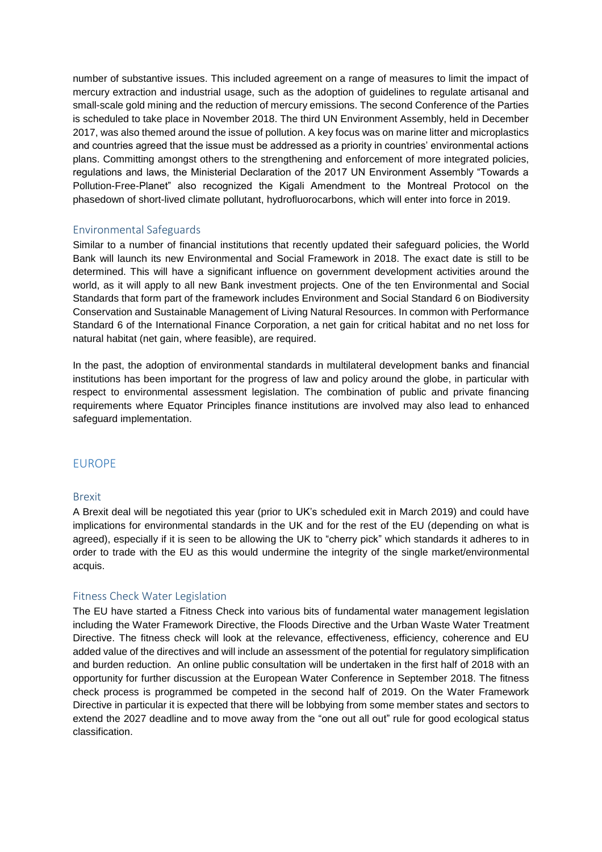number of substantive issues. This included agreement on a range of measures to limit the impact of mercury extraction and industrial usage, such as the adoption of guidelines to regulate artisanal and small-scale gold mining and the reduction of mercury emissions. The second Conference of the Parties is scheduled to take place in November 2018. The third UN Environment Assembly, held in December 2017, was also themed around the issue of pollution. A key focus was on marine litter and microplastics and countries agreed that the issue must be addressed as a priority in countries' environmental actions plans. Committing amongst others to the strengthening and enforcement of more integrated policies, regulations and laws, the Ministerial Declaration of the 2017 UN Environment Assembly "Towards a Pollution-Free-Planet" also recognized the Kigali Amendment to the Montreal Protocol on the phasedown of short-lived climate pollutant, hydrofluorocarbons, which will enter into force in 2019.

### Environmental Safeguards

Similar to a number of financial institutions that recently updated their safeguard policies, the World Bank will launch its new Environmental and Social Framework in 2018. The exact date is still to be determined. This will have a significant influence on government development activities around the world, as it will apply to all new Bank investment projects. One of the ten Environmental and Social Standards that form part of the framework includes Environment and Social Standard 6 on Biodiversity Conservation and Sustainable Management of Living Natural Resources. In common with Performance Standard 6 of the International Finance Corporation, a net gain for critical habitat and no net loss for natural habitat (net gain, where feasible), are required.

In the past, the adoption of environmental standards in multilateral development banks and financial institutions has been important for the progress of law and policy around the globe, in particular with respect to environmental assessment legislation. The combination of public and private financing requirements where Equator Principles finance institutions are involved may also lead to enhanced safeguard implementation.

# EUROPE

### Brexit

A Brexit deal will be negotiated this year (prior to UK's scheduled exit in March 2019) and could have implications for environmental standards in the UK and for the rest of the EU (depending on what is agreed), especially if it is seen to be allowing the UK to "cherry pick" which standards it adheres to in order to trade with the EU as this would undermine the integrity of the single market/environmental acquis.

### Fitness Check Water Legislation

The EU have started a Fitness Check into various bits of fundamental water management legislation including the Water Framework Directive, the Floods Directive and the Urban Waste Water Treatment Directive. The fitness check will look at the relevance, effectiveness, efficiency, coherence and EU added value of the directives and will include an assessment of the potential for regulatory simplification and burden reduction. An online public consultation will be undertaken in the first half of 2018 with an opportunity for further discussion at the European Water Conference in September 2018. The fitness check process is programmed be competed in the second half of 2019. On the Water Framework Directive in particular it is expected that there will be lobbying from some member states and sectors to extend the 2027 deadline and to move away from the "one out all out" rule for good ecological status classification.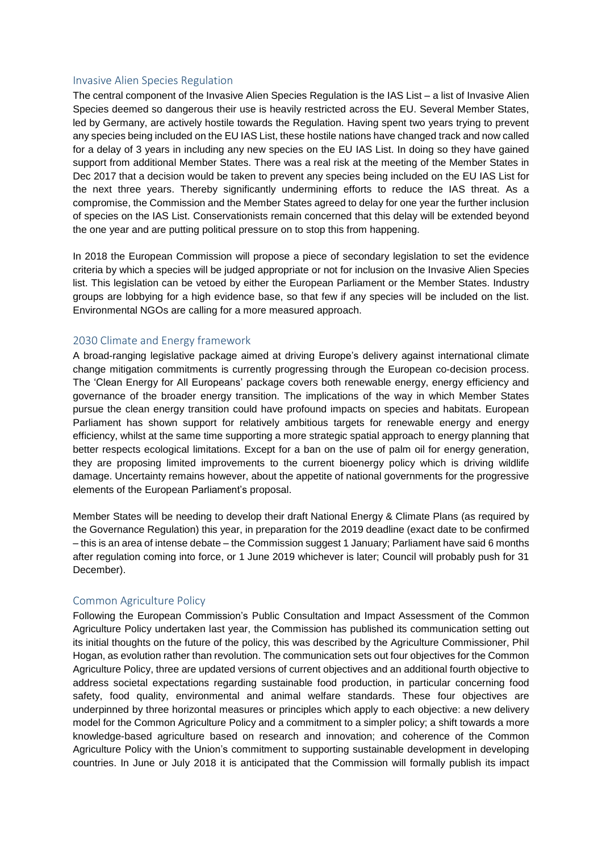### Invasive Alien Species Regulation

The central component of the Invasive Alien Species Regulation is the IAS List – a list of Invasive Alien Species deemed so dangerous their use is heavily restricted across the EU. Several Member States, led by Germany, are actively hostile towards the Regulation. Having spent two years trying to prevent any species being included on the EU IAS List, these hostile nations have changed track and now called for a delay of 3 years in including any new species on the EU IAS List. In doing so they have gained support from additional Member States. There was a real risk at the meeting of the Member States in Dec 2017 that a decision would be taken to prevent any species being included on the EU IAS List for the next three years. Thereby significantly undermining efforts to reduce the IAS threat. As a compromise, the Commission and the Member States agreed to delay for one year the further inclusion of species on the IAS List. Conservationists remain concerned that this delay will be extended beyond the one year and are putting political pressure on to stop this from happening.

In 2018 the European Commission will propose a piece of secondary legislation to set the evidence criteria by which a species will be judged appropriate or not for inclusion on the Invasive Alien Species list. This legislation can be vetoed by either the European Parliament or the Member States. Industry groups are lobbying for a high evidence base, so that few if any species will be included on the list. Environmental NGOs are calling for a more measured approach.

### 2030 Climate and Energy framework

A broad-ranging legislative package aimed at driving Europe's delivery against international climate change mitigation commitments is currently progressing through the European co-decision process. The 'Clean Energy for All Europeans' package covers both renewable energy, energy efficiency and governance of the broader energy transition. The implications of the way in which Member States pursue the clean energy transition could have profound impacts on species and habitats. European Parliament has shown support for relatively ambitious targets for renewable energy and energy efficiency, whilst at the same time supporting a more strategic spatial approach to energy planning that better respects ecological limitations. Except for a ban on the use of palm oil for energy generation, they are proposing limited improvements to the current bioenergy policy which is driving wildlife damage. Uncertainty remains however, about the appetite of national governments for the progressive elements of the European Parliament's proposal.

Member States will be needing to develop their draft National Energy & Climate Plans (as required by the Governance Regulation) this year, in preparation for the 2019 deadline (exact date to be confirmed – this is an area of intense debate – the Commission suggest 1 January; Parliament have said 6 months after regulation coming into force, or 1 June 2019 whichever is later; Council will probably push for 31 December).

### Common Agriculture Policy

Following the European Commission's Public Consultation and Impact Assessment of the Common Agriculture Policy undertaken last year, the Commission has published its communication setting out its initial thoughts on the future of the policy, this was described by the Agriculture Commissioner, Phil Hogan, as evolution rather than revolution. The communication sets out four objectives for the Common Agriculture Policy, three are updated versions of current objectives and an additional fourth objective to address societal expectations regarding sustainable food production, in particular concerning food safety, food quality, environmental and animal welfare standards. These four objectives are underpinned by three horizontal measures or principles which apply to each objective: a new delivery model for the Common Agriculture Policy and a commitment to a simpler policy; a shift towards a more knowledge-based agriculture based on research and innovation; and coherence of the Common Agriculture Policy with the Union's commitment to supporting sustainable development in developing countries. In June or July 2018 it is anticipated that the Commission will formally publish its impact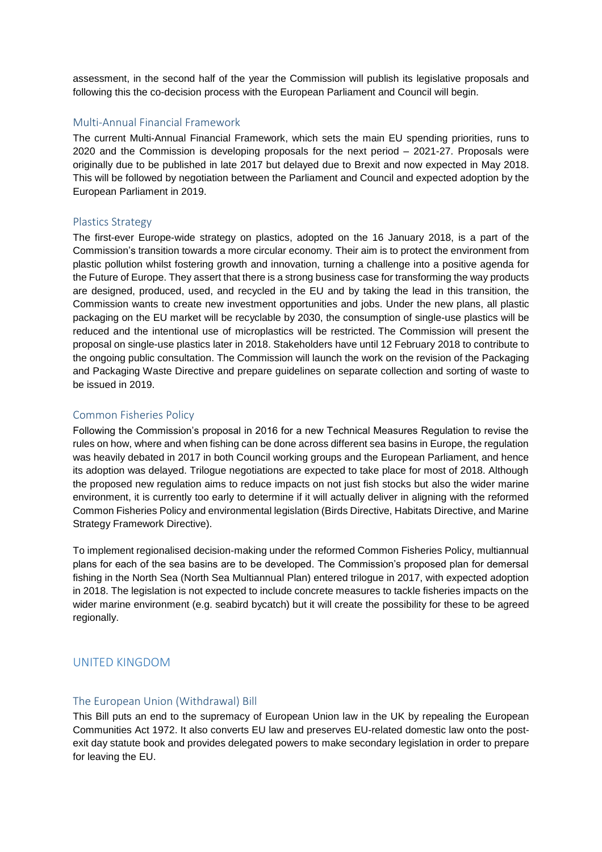assessment, in the second half of the year the Commission will publish its legislative proposals and following this the co-decision process with the European Parliament and Council will begin.

### Multi-Annual Financial Framework

The current Multi-Annual Financial Framework, which sets the main EU spending priorities, runs to 2020 and the Commission is developing proposals for the next period – 2021-27. Proposals were originally due to be published in late 2017 but delayed due to Brexit and now expected in May 2018. This will be followed by negotiation between the Parliament and Council and expected adoption by the European Parliament in 2019.

#### Plastics Strategy

The first-ever Europe-wide strategy on plastics, adopted on the 16 January 2018, is a part of the Commission's transition towards a more circular economy. Their aim is to protect the environment from plastic pollution whilst fostering growth and innovation, turning a challenge into a positive agenda for the Future of Europe. They assert that there is a strong business case for transforming the way products are designed, produced, used, and recycled in the EU and by taking the lead in this transition, the Commission wants to create new investment opportunities and jobs. Under the new plans, all plastic packaging on the EU market will be recyclable by 2030, the consumption of single-use plastics will be reduced and the intentional use of microplastics will be restricted. The Commission will present the proposal on single-use plastics later in 2018. Stakeholders have until 12 February 2018 to contribute to the ongoing public consultation. The Commission will launch the work on the revision of the Packaging and Packaging Waste Directive and prepare guidelines on separate collection and sorting of waste to be issued in 2019.

### Common Fisheries Policy

Following the Commission's proposal in 2016 for a new Technical Measures Regulation to revise the rules on how, where and when fishing can be done across different sea basins in Europe, the regulation was heavily debated in 2017 in both Council working groups and the European Parliament, and hence its adoption was delayed. Trilogue negotiations are expected to take place for most of 2018. Although the proposed new regulation aims to reduce impacts on not just fish stocks but also the wider marine environment, it is currently too early to determine if it will actually deliver in aligning with the reformed Common Fisheries Policy and environmental legislation (Birds Directive, Habitats Directive, and Marine Strategy Framework Directive).

To implement regionalised decision-making under the reformed Common Fisheries Policy, multiannual plans for each of the sea basins are to be developed. The Commission's proposed plan for demersal fishing in the North Sea (North Sea Multiannual Plan) entered trilogue in 2017, with expected adoption in 2018. The legislation is not expected to include concrete measures to tackle fisheries impacts on the wider marine environment (e.g. seabird bycatch) but it will create the possibility for these to be agreed regionally.

# UNITED KINGDOM

#### The European Union (Withdrawal) Bill

This Bill puts an end to the supremacy of European Union law in the UK by repealing the European Communities Act 1972. It also converts EU law and preserves EU-related domestic law onto the postexit day statute book and provides delegated powers to make secondary legislation in order to prepare for leaving the EU.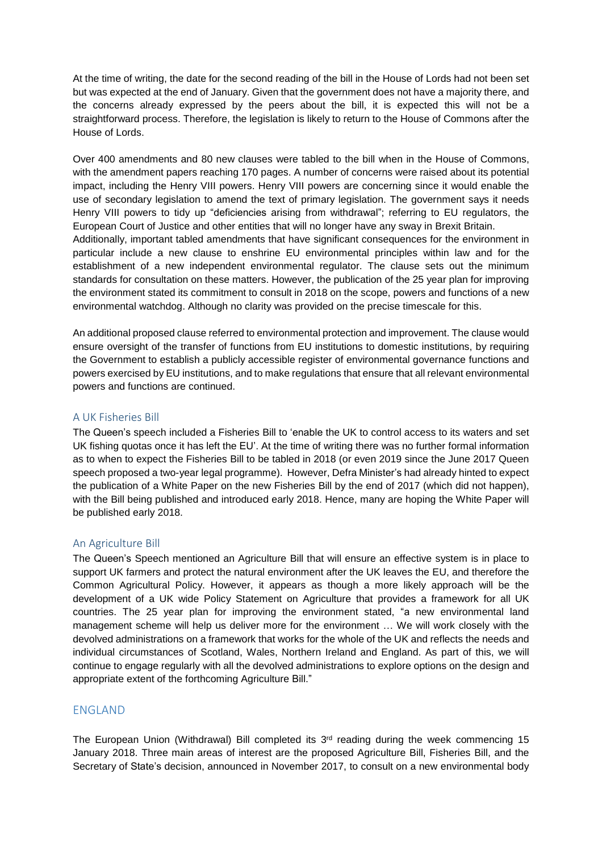At the time of writing, the date for the second reading of the bill in the House of Lords had not been set but was expected at the end of January. Given that the government does not have a majority there, and the concerns already expressed by the peers about the bill, it is expected this will not be a straightforward process. Therefore, the legislation is likely to return to the House of Commons after the House of Lords.

Over 400 amendments and 80 new clauses were tabled to the bill when in the House of Commons, with the amendment papers reaching 170 pages. A number of concerns were raised about its potential impact, including the Henry VIII powers. Henry VIII powers are concerning since it would enable the use of secondary legislation to amend the text of primary legislation. The government says it needs Henry VIII powers to tidy up "deficiencies arising from withdrawal"; referring to EU regulators, the European Court of Justice and other entities that will no longer have any sway in Brexit Britain. Additionally, important tabled amendments that have significant consequences for the environment in particular include a new clause to enshrine EU environmental principles within law and for the establishment of a new independent environmental regulator. The clause sets out the minimum standards for consultation on these matters. However, the publication of the 25 year plan for improving the environment stated its commitment to consult in 2018 on the scope, powers and functions of a new environmental watchdog. Although no clarity was provided on the precise timescale for this.

An additional proposed clause referred to environmental protection and improvement. The clause would ensure oversight of the transfer of functions from EU institutions to domestic institutions, by requiring the Government to establish a publicly accessible register of environmental governance functions and powers exercised by EU institutions, and to make regulations that ensure that all relevant environmental powers and functions are continued.

# A UK Fisheries Bill

The Queen's speech included a Fisheries Bill to 'enable the UK to control access to its waters and set UK fishing quotas once it has left the EU'. At the time of writing there was no further formal information as to when to expect the Fisheries Bill to be tabled in 2018 (or even 2019 since the June 2017 Queen speech proposed a two-year legal programme). However, Defra Minister's had already hinted to expect the publication of a White Paper on the new Fisheries Bill by the end of 2017 (which did not happen), with the Bill being published and introduced early 2018. Hence, many are hoping the White Paper will be published early 2018.

### An Agriculture Bill

The Queen's Speech mentioned an Agriculture Bill that will ensure an effective system is in place to support UK farmers and protect the natural environment after the UK leaves the EU, and therefore the Common Agricultural Policy. However, it appears as though a more likely approach will be the development of a UK wide Policy Statement on Agriculture that provides a framework for all UK countries. The 25 year plan for improving the environment stated, "a new environmental land management scheme will help us deliver more for the environment … We will work closely with the devolved administrations on a framework that works for the whole of the UK and reflects the needs and individual circumstances of Scotland, Wales, Northern Ireland and England. As part of this, we will continue to engage regularly with all the devolved administrations to explore options on the design and appropriate extent of the forthcoming Agriculture Bill."

# ENGLAND

The European Union (Withdrawal) Bill completed its 3<sup>rd</sup> reading during the week commencing 15 January 2018. Three main areas of interest are the proposed Agriculture Bill, Fisheries Bill, and the Secretary of State's decision, announced in November 2017, to consult on a new environmental body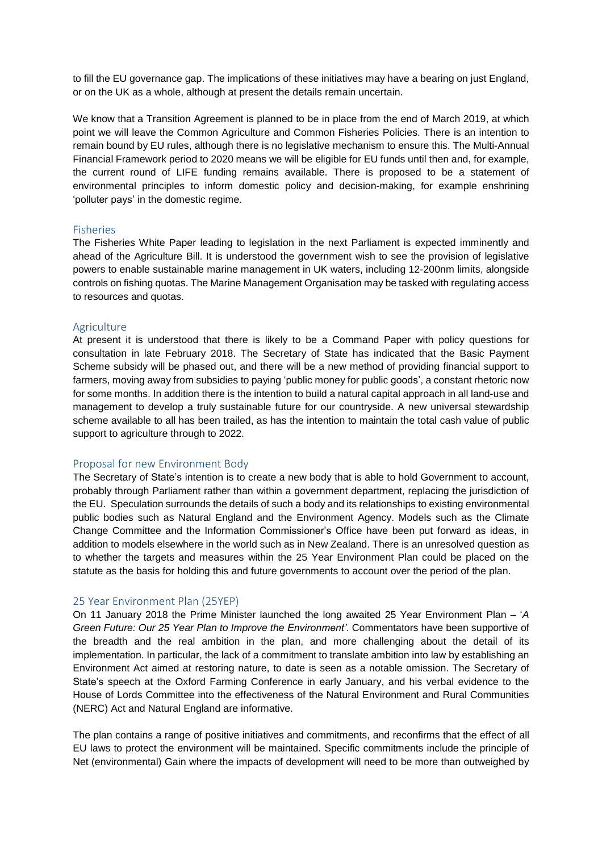to fill the EU governance gap. The implications of these initiatives may have a bearing on just England, or on the UK as a whole, although at present the details remain uncertain.

We know that a Transition Agreement is planned to be in place from the end of March 2019, at which point we will leave the Common Agriculture and Common Fisheries Policies. There is an intention to remain bound by EU rules, although there is no legislative mechanism to ensure this. The Multi-Annual Financial Framework period to 2020 means we will be eligible for EU funds until then and, for example, the current round of LIFE funding remains available. There is proposed to be a statement of environmental principles to inform domestic policy and decision-making, for example enshrining 'polluter pays' in the domestic regime.

#### Fisheries

The Fisheries White Paper leading to legislation in the next Parliament is expected imminently and ahead of the Agriculture Bill. It is understood the government wish to see the provision of legislative powers to enable sustainable marine management in UK waters, including 12-200nm limits, alongside controls on fishing quotas. The Marine Management Organisation may be tasked with regulating access to resources and quotas.

#### Agriculture

At present it is understood that there is likely to be a Command Paper with policy questions for consultation in late February 2018. The Secretary of State has indicated that the Basic Payment Scheme subsidy will be phased out, and there will be a new method of providing financial support to farmers, moving away from subsidies to paying 'public money for public goods', a constant rhetoric now for some months. In addition there is the intention to build a natural capital approach in all land-use and management to develop a truly sustainable future for our countryside. A new universal stewardship scheme available to all has been trailed, as has the intention to maintain the total cash value of public support to agriculture through to 2022.

#### Proposal for new Environment Body

The Secretary of State's intention is to create a new body that is able to hold Government to account, probably through Parliament rather than within a government department, replacing the jurisdiction of the EU. Speculation surrounds the details of such a body and its relationships to existing environmental public bodies such as Natural England and the Environment Agency. Models such as the Climate Change Committee and the Information Commissioner's Office have been put forward as ideas, in addition to models elsewhere in the world such as in New Zealand. There is an unresolved question as to whether the targets and measures within the 25 Year Environment Plan could be placed on the statute as the basis for holding this and future governments to account over the period of the plan.

#### 25 Year Environment Plan (25YEP)

On 11 January 2018 the Prime Minister launched the long awaited 25 Year Environment Plan – '*A Green Future: Our 25 Year Plan to Improve the Environment'*. Commentators have been supportive of the breadth and the real ambition in the plan, and more challenging about the detail of its implementation. In particular, the lack of a commitment to translate ambition into law by establishing an Environment Act aimed at restoring nature, to date is seen as a notable omission. The Secretary of State's speech at the Oxford Farming Conference in early January, and his verbal evidence to the House of Lords Committee into the effectiveness of the Natural Environment and Rural Communities (NERC) Act and Natural England are informative.

The plan contains a range of positive initiatives and commitments, and reconfirms that the effect of all EU laws to protect the environment will be maintained. Specific commitments include the principle of Net (environmental) Gain where the impacts of development will need to be more than outweighed by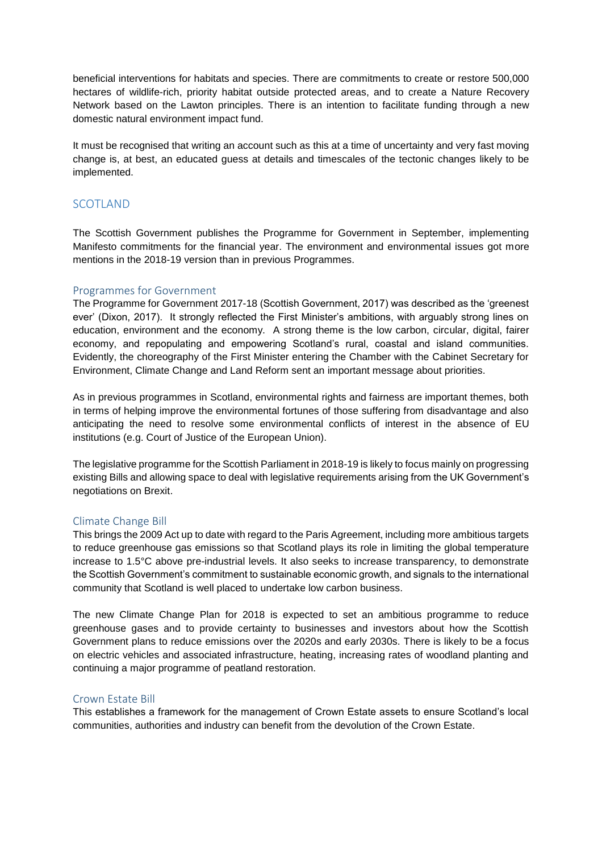beneficial interventions for habitats and species. There are commitments to create or restore 500,000 hectares of wildlife-rich, priority habitat outside protected areas, and to create a Nature Recovery Network based on the Lawton principles. There is an intention to facilitate funding through a new domestic natural environment impact fund.

It must be recognised that writing an account such as this at a time of uncertainty and very fast moving change is, at best, an educated guess at details and timescales of the tectonic changes likely to be implemented.

# SCOTLAND

The Scottish Government publishes the Programme for Government in September, implementing Manifesto commitments for the financial year. The environment and environmental issues got more mentions in the 2018-19 version than in previous Programmes.

### Programmes for Government

The Programme for Government 2017-18 (Scottish Government, 2017) was described as the 'greenest ever' (Dixon, 2017). It strongly reflected the First Minister's ambitions, with arguably strong lines on education, environment and the economy. A strong theme is the low carbon, circular, digital, fairer economy, and repopulating and empowering Scotland's rural, coastal and island communities. Evidently, the choreography of the First Minister entering the Chamber with the Cabinet Secretary for Environment, Climate Change and Land Reform sent an important message about priorities.

As in previous programmes in Scotland, environmental rights and fairness are important themes, both in terms of helping improve the environmental fortunes of those suffering from disadvantage and also anticipating the need to resolve some environmental conflicts of interest in the absence of EU institutions (e.g. Court of Justice of the European Union).

The legislative programme for the Scottish Parliament in 2018-19 is likely to focus mainly on progressing existing Bills and allowing space to deal with legislative requirements arising from the UK Government's negotiations on Brexit.

### Climate Change Bill

This brings the 2009 Act up to date with regard to the Paris Agreement, including more ambitious targets to reduce greenhouse gas emissions so that Scotland plays its role in limiting the global temperature increase to 1.5°C above pre-industrial levels. It also seeks to increase transparency, to demonstrate the Scottish Government's commitment to sustainable economic growth, and signals to the international community that Scotland is well placed to undertake low carbon business.

The new Climate Change Plan for 2018 is expected to set an ambitious programme to reduce greenhouse gases and to provide certainty to businesses and investors about how the Scottish Government plans to reduce emissions over the 2020s and early 2030s. There is likely to be a focus on electric vehicles and associated infrastructure, heating, increasing rates of woodland planting and continuing a major programme of peatland restoration.

### Crown Estate Bill

This establishes a framework for the management of Crown Estate assets to ensure Scotland's local communities, authorities and industry can benefit from the devolution of the Crown Estate.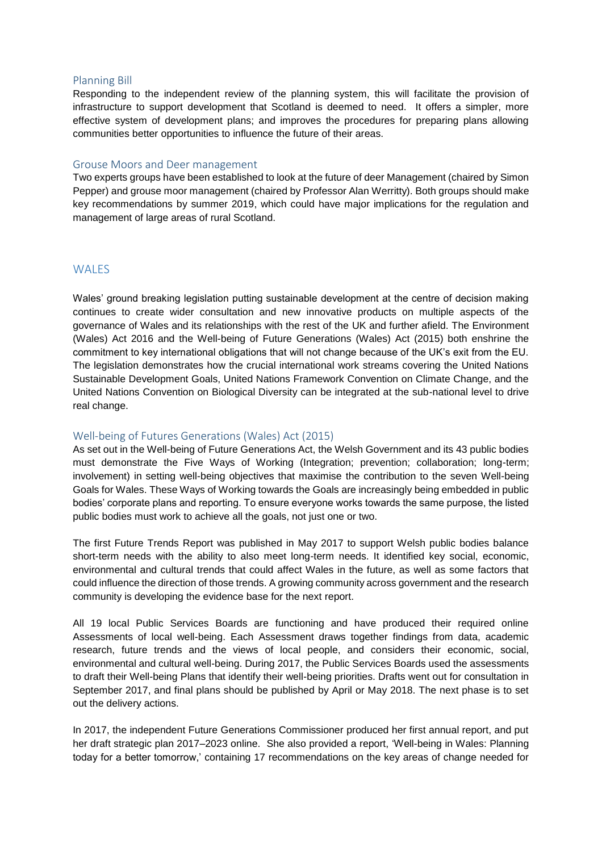### Planning Bill

Responding to the independent review of the planning system, this will facilitate the provision of infrastructure to support development that Scotland is deemed to need. It offers a simpler, more effective system of development plans; and improves the procedures for preparing plans allowing communities better opportunities to influence the future of their areas.

#### Grouse Moors and Deer management

Two experts groups have been established to look at the future of deer Management (chaired by Simon Pepper) and grouse moor management (chaired by Professor Alan Werritty). Both groups should make key recommendations by summer 2019, which could have major implications for the regulation and management of large areas of rural Scotland.

# **WALES**

Wales' ground breaking legislation putting sustainable development at the centre of decision making continues to create wider consultation and new innovative products on multiple aspects of the governance of Wales and its relationships with the rest of the UK and further afield. The Environment (Wales) Act 2016 and the Well-being of Future Generations (Wales) Act (2015) both enshrine the commitment to key international obligations that will not change because of the UK's exit from the EU. The legislation demonstrates how the crucial international work streams covering the United Nations Sustainable Development Goals, United Nations Framework Convention on Climate Change, and the United Nations Convention on Biological Diversity can be integrated at the sub-national level to drive real change.

### Well-being of Futures Generations (Wales) Act (2015)

As set out in the Well-being of Future Generations Act, the Welsh Government and its 43 public bodies must demonstrate the Five Ways of Working (Integration; prevention; collaboration; long-term; involvement) in setting well-being objectives that maximise the contribution to the seven Well-being Goals for Wales. These Ways of Working towards the Goals are increasingly being embedded in public bodies' corporate plans and reporting. To ensure everyone works towards the same purpose, the listed public bodies must work to achieve all the goals, not just one or two.

The first Future Trends Report was published in May 2017 to support Welsh public bodies balance short-term needs with the ability to also meet long-term needs. It identified key social, economic, environmental and cultural trends that could affect Wales in the future, as well as some factors that could influence the direction of those trends. A growing community across government and the research community is developing the evidence base for the next report.

All 19 local Public Services Boards are functioning and have produced their required online Assessments of local well-being. Each Assessment draws together findings from data, academic research, future trends and the views of local people, and considers their economic, social, environmental and cultural well-being. During 2017, the Public Services Boards used the assessments to draft their Well-being Plans that identify their well-being priorities. Drafts went out for consultation in September 2017, and final plans should be published by April or May 2018. The next phase is to set out the delivery actions.

In 2017, the independent Future Generations Commissioner produced her first annual report, and put her draft strategic plan 2017–2023 online. She also provided a report, 'Well-being in Wales: Planning today for a better tomorrow,' containing 17 recommendations on the key areas of change needed for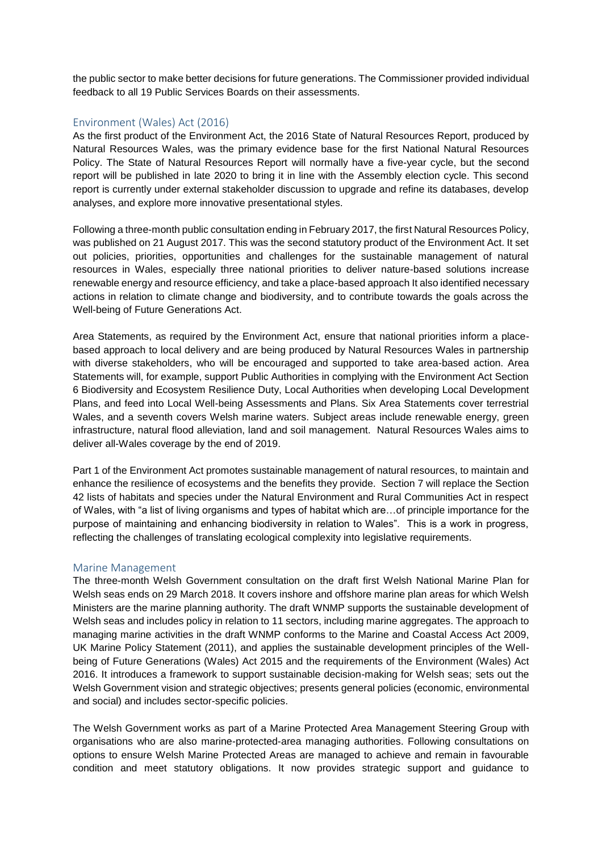the public sector to make better decisions for future generations. The Commissioner provided individual feedback to all 19 Public Services Boards on their assessments.

### Environment (Wales) Act (2016)

As the first product of the Environment Act, the 2016 State of Natural Resources Report, produced by Natural Resources Wales, was the primary evidence base for the first National Natural Resources Policy. The State of Natural Resources Report will normally have a five-year cycle, but the second report will be published in late 2020 to bring it in line with the Assembly election cycle. This second report is currently under external stakeholder discussion to upgrade and refine its databases, develop analyses, and explore more innovative presentational styles.

Following a three-month public consultation ending in February 2017, the first Natural Resources Policy, was published on 21 August 2017. This was the second statutory product of the Environment Act. It set out policies, priorities, opportunities and challenges for the sustainable management of natural resources in Wales, especially three national priorities to deliver nature-based solutions increase renewable energy and resource efficiency, and take a place-based approach It also identified necessary actions in relation to climate change and biodiversity, and to contribute towards the goals across the Well-being of Future Generations Act.

Area Statements, as required by the Environment Act, ensure that national priorities inform a placebased approach to local delivery and are being produced by Natural Resources Wales in partnership with diverse stakeholders, who will be encouraged and supported to take area-based action. Area Statements will, for example, support Public Authorities in complying with the Environment Act Section 6 Biodiversity and Ecosystem Resilience Duty, Local Authorities when developing Local Development Plans, and feed into Local Well-being Assessments and Plans. Six Area Statements cover terrestrial Wales, and a seventh covers Welsh marine waters. Subject areas include renewable energy, green infrastructure, natural flood alleviation, land and soil management. Natural Resources Wales aims to deliver all-Wales coverage by the end of 2019.

Part 1 of the Environment Act promotes sustainable management of natural resources, to maintain and enhance the resilience of ecosystems and the benefits they provide. Section 7 will replace the Section 42 lists of habitats and species under the Natural Environment and Rural Communities Act in respect of Wales, with "a list of living organisms and types of habitat which are…of principle importance for the purpose of maintaining and enhancing biodiversity in relation to Wales". This is a work in progress, reflecting the challenges of translating ecological complexity into legislative requirements.

### Marine Management

The three-month Welsh Government consultation on the draft first Welsh National Marine Plan for Welsh seas ends on 29 March 2018. It covers inshore and offshore marine plan areas for which Welsh Ministers are the marine planning authority. The draft WNMP supports the sustainable development of Welsh seas and includes policy in relation to 11 sectors, including marine aggregates. The approach to managing marine activities in the draft WNMP conforms to the Marine and Coastal Access Act 2009, UK Marine Policy Statement (2011), and applies the sustainable development principles of the Wellbeing of Future Generations (Wales) Act 2015 and the requirements of the Environment (Wales) Act 2016. It introduces a framework to support sustainable decision-making for Welsh seas; sets out the Welsh Government vision and strategic objectives; presents general policies (economic, environmental and social) and includes sector-specific policies.

The Welsh Government works as part of a Marine Protected Area Management Steering Group with organisations who are also marine-protected-area managing authorities. Following consultations on options to ensure Welsh Marine Protected Areas are managed to achieve and remain in favourable condition and meet statutory obligations. It now provides strategic support and guidance to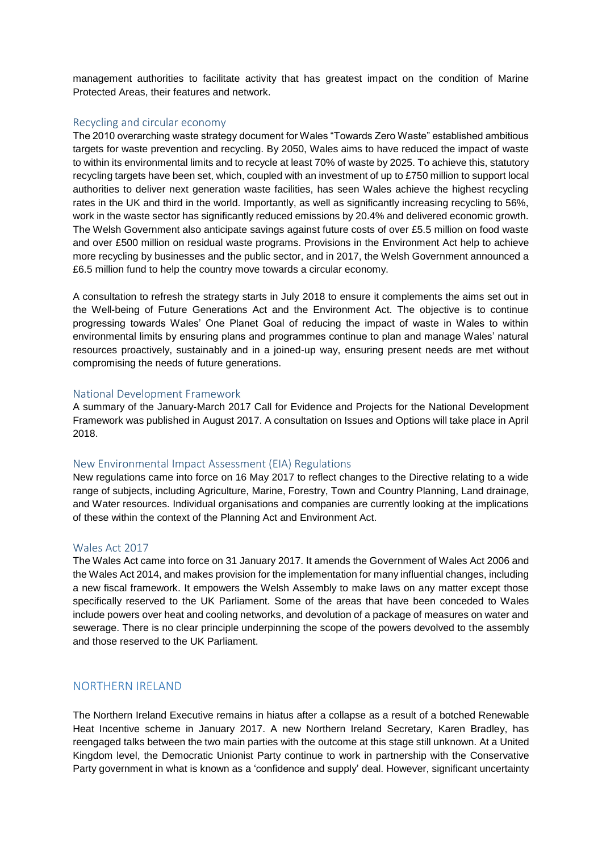management authorities to facilitate activity that has greatest impact on the condition of Marine Protected Areas, their features and network.

#### Recycling and circular economy

The 2010 overarching waste strategy document for Wales "Towards Zero Waste" established ambitious targets for waste prevention and recycling. By 2050, Wales aims to have reduced the impact of waste to within its environmental limits and to recycle at least 70% of waste by 2025. To achieve this, statutory recycling targets have been set, which, coupled with an investment of up to £750 million to support local authorities to deliver next generation waste facilities, has seen Wales achieve the highest recycling rates in the UK and third in the world. Importantly, as well as significantly increasing recycling to 56%, work in the waste sector has significantly reduced emissions by 20.4% and delivered economic growth. The Welsh Government also anticipate savings against future costs of over £5.5 million on food waste and over £500 million on residual waste programs. Provisions in the Environment Act help to achieve more recycling by businesses and the public sector, and in 2017, the Welsh Government announced a £6.5 million fund to help the country move towards a circular economy.

A consultation to refresh the strategy starts in July 2018 to ensure it complements the aims set out in the Well-being of Future Generations Act and the Environment Act. The objective is to continue progressing towards Wales' One Planet Goal of reducing the impact of waste in Wales to within environmental limits by ensuring plans and programmes continue to plan and manage Wales' natural resources proactively, sustainably and in a joined-up way, ensuring present needs are met without compromising the needs of future generations.

#### National Development Framework

A summary of the January-March 2017 Call for Evidence and Projects for the National Development Framework was published in August 2017. A consultation on Issues and Options will take place in April 2018.

#### New Environmental Impact Assessment (EIA) Regulations

New regulations came into force on 16 May 2017 to reflect changes to the Directive relating to a wide range of subjects, including Agriculture, Marine, Forestry, Town and Country Planning, Land drainage, and Water resources. Individual organisations and companies are currently looking at the implications of these within the context of the Planning Act and Environment Act.

#### Wales Act 2017

The Wales Act came into force on 31 January 2017. It amends the Government of Wales Act 2006 and the Wales Act 2014, and makes provision for the implementation for many influential changes, including a new fiscal framework. It empowers the Welsh Assembly to make laws on any matter except those specifically reserved to the UK Parliament. Some of the areas that have been conceded to Wales include powers over heat and cooling networks, and devolution of a package of measures on water and sewerage. There is no clear principle underpinning the scope of the powers devolved to the assembly and those reserved to the UK Parliament.

### NORTHERN IRELAND

The Northern Ireland Executive remains in hiatus after a collapse as a result of a botched Renewable Heat Incentive scheme in January 2017. A new Northern Ireland Secretary, Karen Bradley, has reengaged talks between the two main parties with the outcome at this stage still unknown. At a United Kingdom level, the Democratic Unionist Party continue to work in partnership with the Conservative Party government in what is known as a 'confidence and supply' deal. However, significant uncertainty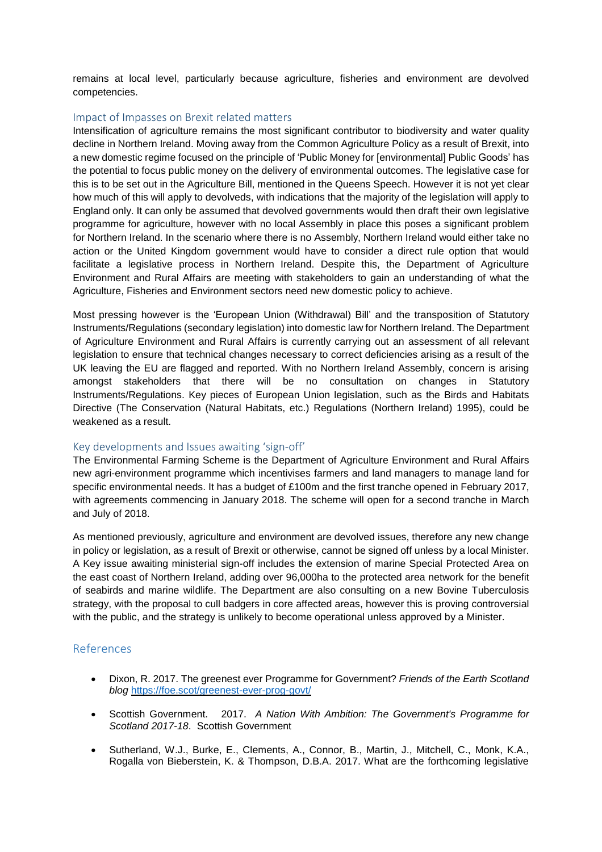remains at local level, particularly because agriculture, fisheries and environment are devolved competencies.

### Impact of Impasses on Brexit related matters

Intensification of agriculture remains the most significant contributor to biodiversity and water quality decline in Northern Ireland. Moving away from the Common Agriculture Policy as a result of Brexit, into a new domestic regime focused on the principle of 'Public Money for [environmental] Public Goods' has the potential to focus public money on the delivery of environmental outcomes. The legislative case for this is to be set out in the Agriculture Bill, mentioned in the Queens Speech. However it is not yet clear how much of this will apply to devolveds, with indications that the majority of the legislation will apply to England only. It can only be assumed that devolved governments would then draft their own legislative programme for agriculture, however with no local Assembly in place this poses a significant problem for Northern Ireland. In the scenario where there is no Assembly, Northern Ireland would either take no action or the United Kingdom government would have to consider a direct rule option that would facilitate a legislative process in Northern Ireland. Despite this, the Department of Agriculture Environment and Rural Affairs are meeting with stakeholders to gain an understanding of what the Agriculture, Fisheries and Environment sectors need new domestic policy to achieve.

Most pressing however is the 'European Union (Withdrawal) Bill' and the transposition of Statutory Instruments/Regulations (secondary legislation) into domestic law for Northern Ireland. The Department of Agriculture Environment and Rural Affairs is currently carrying out an assessment of all relevant legislation to ensure that technical changes necessary to correct deficiencies arising as a result of the UK leaving the EU are flagged and reported. With no Northern Ireland Assembly, concern is arising amongst stakeholders that there will be no consultation on changes in Statutory Instruments/Regulations. Key pieces of European Union legislation, such as the Birds and Habitats Directive (The Conservation (Natural Habitats, etc.) Regulations (Northern Ireland) 1995), could be weakened as a result.

### Key developments and Issues awaiting 'sign-off'

The Environmental Farming Scheme is the Department of Agriculture Environment and Rural Affairs new agri-environment programme which incentivises farmers and land managers to manage land for specific environmental needs. It has a budget of £100m and the first tranche opened in February 2017, with agreements commencing in January 2018. The scheme will open for a second tranche in March and July of 2018.

As mentioned previously, agriculture and environment are devolved issues, therefore any new change in policy or legislation, as a result of Brexit or otherwise, cannot be signed off unless by a local Minister. A Key issue awaiting ministerial sign-off includes the extension of marine Special Protected Area on the east coast of Northern Ireland, adding over 96,000ha to the protected area network for the benefit of seabirds and marine wildlife. The Department are also consulting on a new Bovine Tuberculosis strategy, with the proposal to cull badgers in core affected areas, however this is proving controversial with the public, and the strategy is unlikely to become operational unless approved by a Minister.

### References

- Dixon, R. 2017. The greenest ever Programme for Government? *Friends of the Earth Scotland blog* <https://foe.scot/greenest-ever-prog-govt/>
- Scottish Government. 2017. *A Nation With Ambition: The Government's Programme for Scotland 2017-18*. Scottish Government
- Sutherland, W.J., Burke, E., Clements, A., Connor, B., Martin, J., Mitchell, C., Monk, K.A., Rogalla von Bieberstein, K. & Thompson, D.B.A. 2017. What are the forthcoming legislative